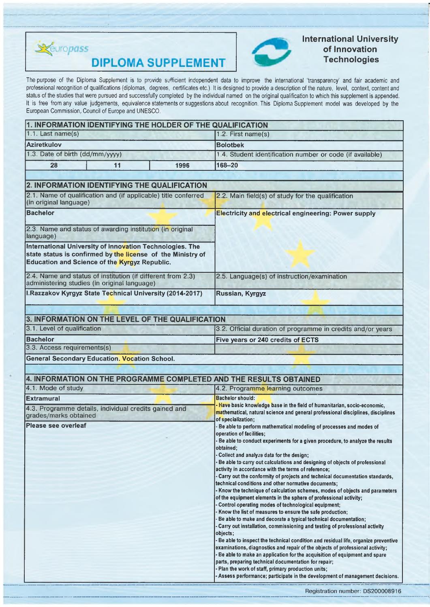

**DIPLOMA SUPPLEMENT** 



# **International University of Innovation Technologies**

The purpose of the Diploma Supplement is to provide sufficient independent data to improve the international 'transparency' and fair academic and professional recognition of qualifications (diplomas, degrees, certificates etc.). It is designed to provide a description of the nature, level, context, content and status of the studies that were pursued and successfully completed by the individual named on the original qualification to which this supplement is appended. It is free from any value judgements, equivalence statements or suggestions about recognition. This Diploma Supplement model was developed by the European Commission, Council of Europe and UNESCO.

| 1. INFORMATION IDENTIFYING THE HOLDER OF THE QUALIFICATION                                                                                                                      |      |                                                                                                                                                                                  |  |  |  |
|---------------------------------------------------------------------------------------------------------------------------------------------------------------------------------|------|----------------------------------------------------------------------------------------------------------------------------------------------------------------------------------|--|--|--|
| $1.1.$ Last name(s)                                                                                                                                                             |      | 1.2. First name(s)<br><b>Bolotbek</b><br>1.4. Student identification number or code (if available)                                                                               |  |  |  |
| <b>Aziretkulov</b>                                                                                                                                                              |      |                                                                                                                                                                                  |  |  |  |
| 1.3. Date of birth (dd/mm/yyyy)                                                                                                                                                 |      |                                                                                                                                                                                  |  |  |  |
| 28<br>11                                                                                                                                                                        | 1996 | 168-20                                                                                                                                                                           |  |  |  |
|                                                                                                                                                                                 |      |                                                                                                                                                                                  |  |  |  |
| 2. INFORMATION IDENTIFYING THE QUALIFICATION                                                                                                                                    |      |                                                                                                                                                                                  |  |  |  |
| 2.1. Name of qualification and (if applicable) title conferred<br>(in original language)                                                                                        |      | 2.2. Main field(s) of study for the qualification                                                                                                                                |  |  |  |
| <b>Bachelor</b>                                                                                                                                                                 |      | <b>Electricity and electrical engineering: Power supply</b>                                                                                                                      |  |  |  |
| 2.3. Name and status of awarding institution (in original<br>language)                                                                                                          |      |                                                                                                                                                                                  |  |  |  |
| International University of Innovation Technologies. The<br>state status is confirmed by the license of the Ministry of<br><b>Education and Science of the Kyrgyz Republic.</b> |      |                                                                                                                                                                                  |  |  |  |
| 2.4. Name and status of institution (if different from 2.3)<br>administering studies (in original language)                                                                     |      | 2.5. Language(s) of instruction/examination                                                                                                                                      |  |  |  |
| I.Razzakov Kyrgyz State Technical University (2014-2017)                                                                                                                        |      | Russian, Kyrgyz                                                                                                                                                                  |  |  |  |
| 3.1. Level of qualification<br><b>Bachelor</b><br>3.3. Access requirements(s)<br>General Secondary Education. Vocation School.                                                  |      | 3.2. Official duration of programme in credits and/or years<br>Five years or 240 credits of ECTS                                                                                 |  |  |  |
| 4. INFORMATION ON THE PROGRAMME COMPLETED AND THE RESULTS OBTAINED                                                                                                              |      |                                                                                                                                                                                  |  |  |  |
| 4.1. Mode of study                                                                                                                                                              |      | 4.2. Programme learning outcomes                                                                                                                                                 |  |  |  |
| <b>Extramural</b>                                                                                                                                                               |      | <b>Bachelor should:</b>                                                                                                                                                          |  |  |  |
| 4.3. Programme details, individual credits gained and<br>grades/marks obtained                                                                                                  |      | Have basic knowledge base in the field of humanitarian, socio-economic,<br>mathematical, natural science and general professional disciplines, disciplines<br>of specialization; |  |  |  |
| Please see overleaf                                                                                                                                                             |      | Be able to perform mathematical modeling of processes and modes of<br>operation of facilities;                                                                                   |  |  |  |
|                                                                                                                                                                                 |      | Be able to conduct experiments for a given procedure, to analyze the results<br>obtained;                                                                                        |  |  |  |
|                                                                                                                                                                                 |      | Collect and analyze data for the design;<br>Be able to carry out calculations and designing of objects of professional<br>activity in accordance with the terms of reference;    |  |  |  |
|                                                                                                                                                                                 |      | - Carry out the conformity of projects and technical documentation standards,                                                                                                    |  |  |  |
|                                                                                                                                                                                 |      | technical conditions and other normative documents;                                                                                                                              |  |  |  |
|                                                                                                                                                                                 |      | - Know the technique of calculation schemes, modes of objects and parameters<br>of the equipment elements in the sphere of professional activity;                                |  |  |  |
|                                                                                                                                                                                 |      | - Control operating modes of technological equipment;                                                                                                                            |  |  |  |
|                                                                                                                                                                                 |      | Know the list of measures to ensure the safe production;                                                                                                                         |  |  |  |
|                                                                                                                                                                                 |      | Be able to make and decorate a typical technical documentation;<br>- Carry out installation, commissioning and testing of professional activity                                  |  |  |  |
|                                                                                                                                                                                 |      | objects;                                                                                                                                                                         |  |  |  |
|                                                                                                                                                                                 |      | - Be able to inspect the technical condition and residual life, organize preventive<br>examinations, diagnostics and repair of the objects of professional activity;             |  |  |  |
|                                                                                                                                                                                 |      | - Be able to make an application for the acquisition of equipment and spare                                                                                                      |  |  |  |
|                                                                                                                                                                                 |      | parts, preparing technical documentation for repair;<br>- Plan the work of staff, primary production units;                                                                      |  |  |  |

**- Assess performance; participate in the development of management decisions.**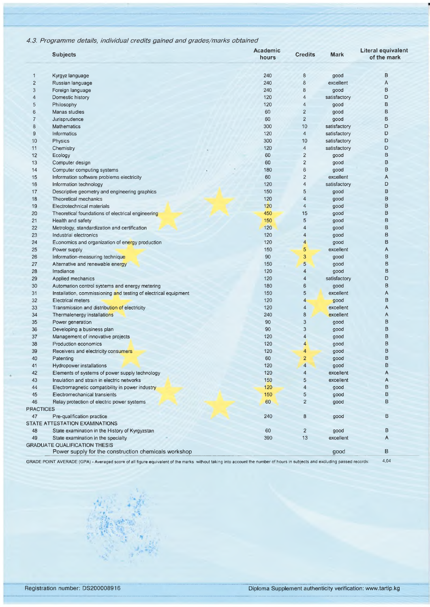## 4.3. Programme details, individual credits gained and grades/marks obtained

|                         | <b>Subjects</b>                                                 | Academic<br>hours | <b>Credits</b>            | Mark         | Literal equivalent<br>of the mark |
|-------------------------|-----------------------------------------------------------------|-------------------|---------------------------|--------------|-----------------------------------|
| 1                       | Kyrgyz language                                                 | 240               | $\bf 8$                   | good         | B                                 |
| $\overline{\mathbf{c}}$ | Russian language                                                | 240               | $\bf 8$                   | excellent    | A                                 |
| 3                       | Foreign language                                                | 240               | 8                         | good         | B                                 |
| 4                       | Domestic history                                                | 120               | 4                         | satisfactory | D                                 |
| 5                       | Philosophy                                                      | 120               | $\overline{4}$            | good         | B                                 |
| 6                       | Manas studies                                                   | 60                | $\overline{2}$            | good         | B                                 |
| 7                       | Jurisprudence                                                   | 60                | $\overline{2}$            | good         | B                                 |
| 8                       | <b>Mathematics</b>                                              | 300               | 10                        | satisfactory | D                                 |
| 9                       | Informatics                                                     | 120               | 4                         | satisfactory | D                                 |
| 10                      | Physics                                                         | 300               | 10                        | satisfactory | D                                 |
| 11                      | Chemistry                                                       | 120               | $\overline{4}$            | satisfactory | D                                 |
| 12                      | Ecology                                                         | 60                | $\overline{2}$            | good         | B                                 |
| 13                      | Computer design                                                 | 60                | 2                         | good         | В                                 |
| 14                      | Computer computing systems                                      | 180               | $\,6\,$                   | good         | B                                 |
| 15                      | Information software problems electricity                       | 60                | $\overline{2}$            | excellent    | Α                                 |
| 16                      | Information technology                                          | 120               | 4                         | satisfactory | D                                 |
| 17                      | Descriptive geometry and engineering graphics                   | 150               | 5                         | good         | В                                 |
| 18                      | Theoretical mechanics                                           | 120               | 4                         | good         | В                                 |
| 19                      | Electrotechnical materials                                      | 120               | $\overline{4}$            | good         | B                                 |
| 20                      | Theoretical foundations of electrical engineering               | 450               | 15                        | good         | B                                 |
| 21                      | Health and safety                                               | 150               | 5                         | good         | В                                 |
| 22                      | Metrology, standardization and certification                    | 120               | 4                         | good         | B                                 |
| 23                      | Industrial electronics                                          | 120               | 4                         | good         | B                                 |
| 24                      | Economics and organization of energy production                 | 120               | $\overline{4}$            | good         | в                                 |
| 25                      | Power supply                                                    | 150               | 5                         | excellent    | A                                 |
| 26                      | Information-measuring technique                                 | 90                | 3                         | good         | B                                 |
| 27                      | Alternative and renewable energy                                | 150               | 5                         | good         | B                                 |
| 28                      | Irradiance                                                      | 120               | 4                         | good         | B                                 |
| 29                      | Applied mechanics                                               | 120               | 4                         | satisfactory | D                                 |
| 30                      | Automation control systems and energy metering                  | 180               | 6                         | good         | В                                 |
| 31                      | Installation, commissioning and testing of electrical equipment | 150               | 5                         | excellent    | A                                 |
| 32                      | <b>Electrical meters</b>                                        | 120               | $\overline{4}$            | good         | B                                 |
| 33                      | Transmission and distribution of electricity                    | 120               | 4                         | excellent    | Α                                 |
| 34                      | Thermalenergy installations                                     | 240               | 8                         | excellent    | Α                                 |
| 35                      | Power generation                                                | 90                | $\ensuremath{\mathsf{3}}$ | good         | B                                 |
| 36                      | Developing a business plan                                      | 90                | 3                         | good         | B                                 |
| 37                      | Management of innovative projects                               | 120               | 4                         | good         | В                                 |
| 38                      | Production economics                                            | 120               | 4                         | good         | В                                 |
| 39                      | Receivers and electricity consumers                             | 120               | 4                         | good         | В                                 |
| 40                      | Patenting                                                       | 60                | $\overline{a}$            | good         | В                                 |
| 41                      | Hydropower installations                                        | 120               | 4                         | good         | B                                 |
| 42                      | Elements of systems of power supply technology                  | 120               | 4                         | excellent    | Α                                 |
| 43                      | Insulation and strain in electric networks                      | 150               | 5                         | excellent    | Α                                 |
| 44                      | Electromagnetic compatibility in power industry                 | 120               | 4                         | good         | в                                 |
| 45                      | Electromechanical transients                                    | 150               | 5                         | good         | В                                 |
| 46                      | Relay protection of electric power systems                      | 60                | $\overline{2}$            | good         | в                                 |
| PRACTICES               |                                                                 |                   |                           |              |                                   |
| 47                      | Pre-qualification practice                                      | 240               | 8                         | good         | B                                 |
|                         | STATE ATTESTATION EXAMINATIONS                                  |                   |                           |              |                                   |
| 48                      | State examination in the History of Kyrgyzstan                  | 60                | 2                         | good         | В                                 |
| 49                      | State examination in the specialty                              | 390               | 13                        | excellent    | Α                                 |
|                         | <b>GRADUATE QUALIFICATION THESIS</b>                            |                   |                           |              |                                   |
|                         | Power supply for the construction chemicals workshop            |                   |                           | good         | в                                 |
|                         |                                                                 |                   |                           |              |                                   |

GRADE POINT AVERADE (GPA) - Averaged score of all figure equivalent of the marks without taking into account the number of hours in subjects and excluding passed records:

*if-* \*» v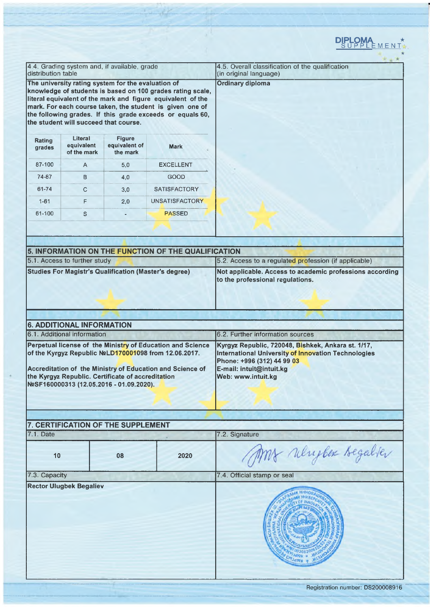|                    |                                                                 |                                                                                               |                                                                                                                                                                                                                                                    | DIPLOMA *                                                                                                                                                                                 |
|--------------------|-----------------------------------------------------------------|-----------------------------------------------------------------------------------------------|----------------------------------------------------------------------------------------------------------------------------------------------------------------------------------------------------------------------------------------------------|-------------------------------------------------------------------------------------------------------------------------------------------------------------------------------------------|
|                    |                                                                 |                                                                                               |                                                                                                                                                                                                                                                    |                                                                                                                                                                                           |
| distribution table |                                                                 | 4.4. Grading system and, if available, grade                                                  |                                                                                                                                                                                                                                                    | 4.5. Overall classification of the qualification<br>(in original language)                                                                                                                |
|                    | the student will succeed that course.                           | The university rating system for the evaluation of                                            | knowledge of students is based on 100 grades rating scale,<br>literal equivalent of the mark and figure equivalent of the<br>mark. For each course taken, the student is given one of<br>the following grades. If this grade exceeds or equals 60, | <b>Ordinary diploma</b>                                                                                                                                                                   |
| Rating<br>grades   | Literal<br>equivalent<br>of the mark                            | <b>Figure</b><br>equivalent of<br>the mark                                                    | <b>Mark</b>                                                                                                                                                                                                                                        |                                                                                                                                                                                           |
| 87-100             | A                                                               | 5,0                                                                                           | <b>EXCELLENT</b>                                                                                                                                                                                                                                   |                                                                                                                                                                                           |
| 74-87              | B                                                               | 4,0                                                                                           | GOOD                                                                                                                                                                                                                                               |                                                                                                                                                                                           |
| 61-74              | C                                                               | 3,0                                                                                           | <b>SATISFACTORY</b>                                                                                                                                                                                                                                |                                                                                                                                                                                           |
| $1 - 61$           | F                                                               | 2,0                                                                                           | UNSATISFACTORY                                                                                                                                                                                                                                     |                                                                                                                                                                                           |
| 61-100             | S                                                               |                                                                                               | <b>PASSED</b>                                                                                                                                                                                                                                      |                                                                                                                                                                                           |
|                    |                                                                 |                                                                                               |                                                                                                                                                                                                                                                    |                                                                                                                                                                                           |
|                    |                                                                 |                                                                                               |                                                                                                                                                                                                                                                    |                                                                                                                                                                                           |
|                    |                                                                 |                                                                                               | 5. INFORMATION ON THE FUNCTION OF THE QUALIFICATION                                                                                                                                                                                                |                                                                                                                                                                                           |
|                    | 5.1. Access to further study                                    |                                                                                               |                                                                                                                                                                                                                                                    | 5.2. Access to a regulated profession (if applicable)                                                                                                                                     |
|                    |                                                                 |                                                                                               |                                                                                                                                                                                                                                                    | to the professional regulations.                                                                                                                                                          |
|                    |                                                                 |                                                                                               |                                                                                                                                                                                                                                                    |                                                                                                                                                                                           |
|                    | <b>6. ADDITIONAL INFORMATION</b><br>6.1. Additional information |                                                                                               |                                                                                                                                                                                                                                                    | 6.2. Further information sources                                                                                                                                                          |
|                    |                                                                 | the Kyrgyz Republic. Certificate of accreditation<br>NºSF160000313 (12.05.2016 - 01.09.2020). | Perpetual license of the Ministry of Education and Science<br>of the Kyrgyz Republic N2LD170001098 from 12.06.2017.<br>Accreditation of the Ministry of Education and Science of                                                                   | Kyrgyz Republic, 720048, Bishkek, Ankara st. 1/17,<br>International University of Innovation Technologies<br>Phone: +996 (312) 44 99 03<br>E-mail: intuit@intuit.kg<br>Web: www.intuit.kg |
|                    |                                                                 |                                                                                               |                                                                                                                                                                                                                                                    |                                                                                                                                                                                           |
|                    |                                                                 | 7. CERTIFICATION OF THE SUPPLEMENT                                                            |                                                                                                                                                                                                                                                    |                                                                                                                                                                                           |
| 7.1. Date          |                                                                 |                                                                                               |                                                                                                                                                                                                                                                    | 7.2. Signature                                                                                                                                                                            |
| 10                 |                                                                 | 08                                                                                            | 2020                                                                                                                                                                                                                                               | Mf relupber Begalver                                                                                                                                                                      |
| 7.3. Capacity      | <b>Rector Ulugbek Begaliev</b>                                  |                                                                                               |                                                                                                                                                                                                                                                    | 7.4. Official stamp or seal                                                                                                                                                               |

Ţ